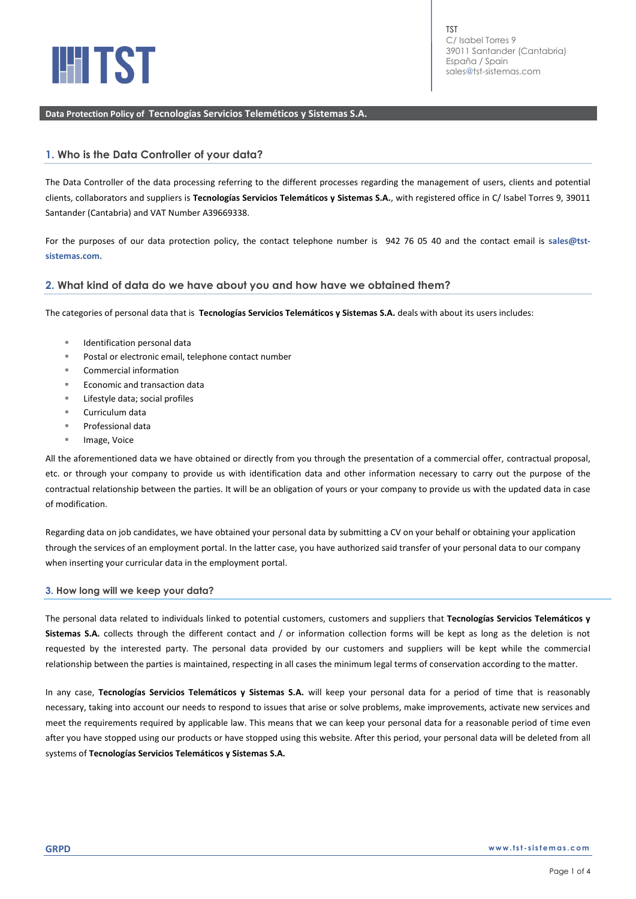

## **Data Protection Policy of Tecnologías Servicios Teleméticos y Sistemas S.A.**

# **1. Who is the Data Controller of your data?**

The Data Controller of the data processing referring to the different processes regarding the management of users, clients and potential clients, collaborators and suppliers is **Tecnologías Servicios Telemáticos y Sistemas S.A.**, with registered office in C/ Isabel Torres 9, 39011 Santander (Cantabria) and VAT Number A39669338.

For the purposes of our data protection policy, the contact telephone number is 942 76 05 40 and the contact email is **[sales@tst](sales@tst-sistemas.com.)[sistemas.com.](sales@tst-sistemas.com.)**

## **2. What kind of data do we have about you and how have we obtained them?**

The categories of personal data that is **Tecnologías Servicios Telemáticos y Sistemas S.A.** deals with about its users includes:

- Identification personal data
- Postal or electronic email, telephone contact number
- Commercial information
- Economic and transaction data
- Lifestyle data; social profiles
- Curriculum data
- Professional data
- Image, Voice

All the aforementioned data we have obtained or directly from you through the presentation of a commercial offer, contractual proposal, etc. or through your company to provide us with identification data and other information necessary to carry out the purpose of the contractual relationship between the parties. It will be an obligation of yours or your company to provide us with the updated data in case of modification.

Regarding data on job candidates, we have obtained your personal data by submitting a CV on your behalf or obtaining your application through the services of an employment portal. In the latter case, you have authorized said transfer of your personal data to our company when inserting your curricular data in the employment portal.

## **3. How long will we keep your data?**

The personal data related to individuals linked to potential customers, customers and suppliers that **Tecnologías Servicios Telemáticos y Sistemas S.A.** collects through the different contact and / or information collection forms will be kept as long as the deletion is not requested by the interested party. The personal data provided by our customers and suppliers will be kept while the commercial relationship between the parties is maintained, respecting in all cases the minimum legal terms of conservation according to the matter.

In any case, **Tecnologías Servicios Telemáticos y Sistemas S.A.** will keep your personal data for a period of time that is reasonably necessary, taking into account our needs to respond to issues that arise or solve problems, make improvements, activate new services and meet the requirements required by applicable law. This means that we can keep your personal data for a reasonable period of time even after you have stopped using our products or have stopped using this website. After this period, your personal data will be deleted from all systems of **Tecnologías Servicios Telemáticos y Sistemas S.A.**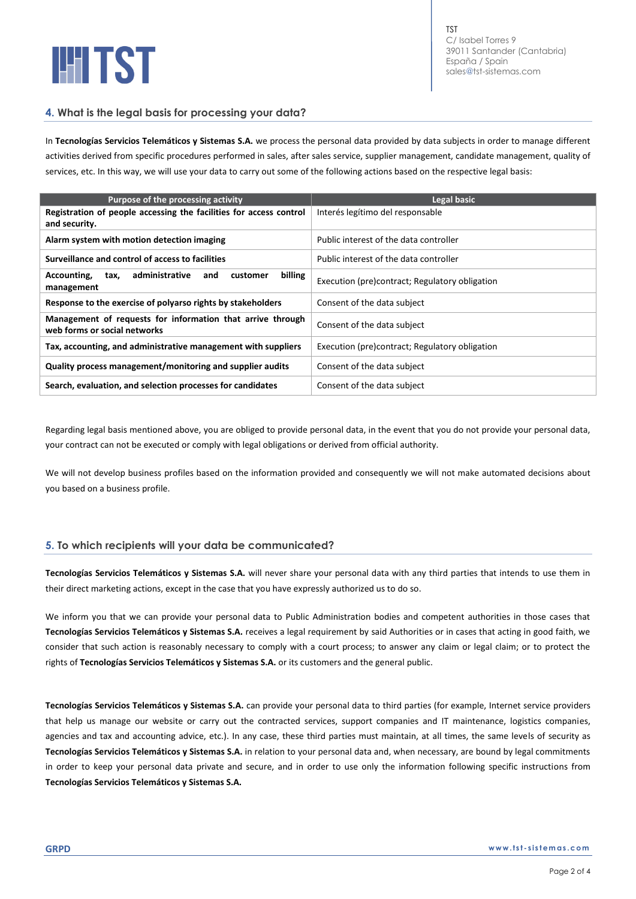

TST C/ Isabel Torres 9 39011 Santander (Cantabria) España / Spain [sales@tst-sistemas.com](mailto:sales@tst-sistemas.com)

# **4. What is the legal basis for processing your data?**

In **Tecnologías Servicios Telemáticos y Sistemas S.A.** we process the personal data provided by data subjects in order to manage different activities derived from specific procedures performed in sales, after sales service, supplier management, candidate management, quality of services, etc. In this way, we will use your data to carry out some of the following actions based on the respective legal basis:

| Purpose of the processing activity                                                         | Legal basic                                    |
|--------------------------------------------------------------------------------------------|------------------------------------------------|
| Registration of people accessing the facilities for access control<br>and security.        | Interés legítimo del responsable               |
| Alarm system with motion detection imaging                                                 | Public interest of the data controller         |
| Surveillance and control of access to facilities                                           | Public interest of the data controller         |
| administrative<br>billing<br>Accounting,<br>and<br>customer<br>tax,<br>management          | Execution (pre)contract; Regulatory obligation |
| Response to the exercise of polyarso rights by stakeholders                                | Consent of the data subject                    |
| Management of requests for information that arrive through<br>web forms or social networks | Consent of the data subject                    |
| Tax, accounting, and administrative management with suppliers                              | Execution (pre)contract; Regulatory obligation |
| Quality process management/monitoring and supplier audits                                  | Consent of the data subject                    |
| Search, evaluation, and selection processes for candidates                                 | Consent of the data subject                    |

Regarding legal basis mentioned above, you are obliged to provide personal data, in the event that you do not provide your personal data, your contract can not be executed or comply with legal obligations or derived from official authority.

We will not develop business profiles based on the information provided and consequently we will not make automated decisions about you based on a business profile.

# **5. To which recipients will your data be communicated?**

**Tecnologías Servicios Telemáticos y Sistemas S.A.** will never share your personal data with any third parties that intends to use them in their direct marketing actions, except in the case that you have expressly authorized us to do so.

We inform you that we can provide your personal data to Public Administration bodies and competent authorities in those cases that **Tecnologías Servicios Telemáticos y Sistemas S.A.** receives a legal requirement by said Authorities or in cases that acting in good faith, we consider that such action is reasonably necessary to comply with a court process; to answer any claim or legal claim; or to protect the rights of **Tecnologías Servicios Telemáticos y Sistemas S.A.** or its customers and the general public.

**Tecnologías Servicios Telemáticos y Sistemas S.A.** can provide your personal data to third parties (for example, Internet service providers that help us manage our website or carry out the contracted services, support companies and IT maintenance, logistics companies, agencies and tax and accounting advice, etc.). In any case, these third parties must maintain, at all times, the same levels of security as **Tecnologías Servicios Telemáticos y Sistemas S.A.** in relation to your personal data and, when necessary, are bound by legal commitments in order to keep your personal data private and secure, and in order to use only the information following specific instructions from **Tecnologías Servicios Telemáticos y Sistemas S.A.**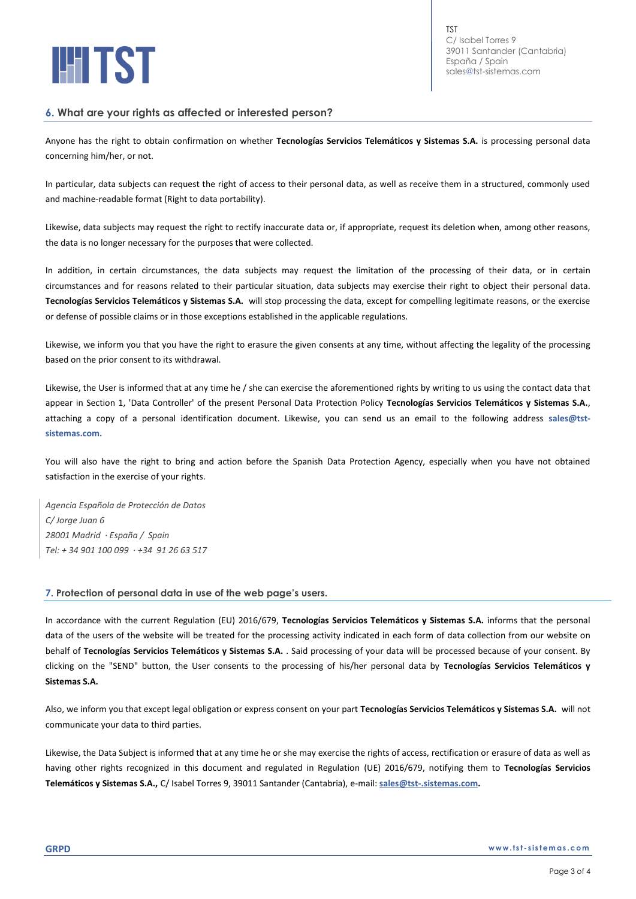

TST C/ Isabel Torres 9 39011 Santander (Cantabria) España / Spain [sales@tst-sistemas.com](mailto:sales@tst-sistemas.com)

## **6. What are your rights as affected or interested person?**

Anyone has the right to obtain confirmation on whether **Tecnologías Servicios Telemáticos y Sistemas S.A.** is processing personal data concerning him/her, or not.

In particular, data subjects can request the right of access to their personal data, as well as receive them in a structured, commonly used and machine-readable format (Right to data portability).

Likewise, data subjects may request the right to rectify inaccurate data or, if appropriate, request its deletion when, among other reasons, the data is no longer necessary for the purposes that were collected.

In addition, in certain circumstances, the data subjects may request the limitation of the processing of their data, or in certain circumstances and for reasons related to their particular situation, data subjects may exercise their right to object their personal data. **Tecnologías Servicios Telemáticos y Sistemas S.A.** will stop processing the data, except for compelling legitimate reasons, or the exercise or defense of possible claims or in those exceptions established in the applicable regulations.

Likewise, we inform you that you have the right to erasure the given consents at any time, without affecting the legality of the processing based on the prior consent to its withdrawal.

Likewise, the User is informed that at any time he / she can exercise the aforementioned rights by writing to us using the contact data that appear in Section 1, 'Data Controller' of the present Personal Data Protection Policy **Tecnologías Servicios Telemáticos y Sistemas S.A.**, attaching a copy of a personal identification document. Likewise, you can send us an email to the following address **[sales@tst](file:///D:/Documents/Desktop/DATOS_YOLY/00_GDPR%20webs/20201021/TST/sales@tst-sistemas.com)[sistemas.com.](file:///D:/Documents/Desktop/DATOS_YOLY/00_GDPR%20webs/20201021/TST/sales@tst-sistemas.com)**

You will also have the right to bring and action before the Spanish Data Protection Agency, especially when you have not obtained satisfaction in the exercise of your rights.

*Agencia Española de Protección de Datos C/ Jorge Juan 6 28001 Madrid · España / Spain Tel: + 34 901 100 099 · +34 91 26 63 517*

#### **7. Protection of personal data in use of the web page's users.**

In accordance with the current Regulation (EU) 2016/679, **Tecnologías Servicios Telemáticos y Sistemas S.A.** informs that the personal data of the users of the website will be treated for the processing activity indicated in each form of data collection from our website on behalf of **Tecnologías Servicios Telemáticos y Sistemas S.A.** . Said processing of your data will be processed because of your consent. By clicking on the "SEND" button, the User consents to the processing of his/her personal data by **Tecnologías Servicios Telemáticos y Sistemas S.A.**

Also, we inform you that except legal obligation or express consent on your part **Tecnologías Servicios Telemáticos y Sistemas S.A.** will not communicate your data to third parties.

Likewise, the Data Subject is informed that at any time he or she may exercise the rights of access, rectification or erasure of data as well as having other rights recognized in this document and regulated in Regulation (UE) 2016/679, notifying them to **Tecnologías Servicios Telemáticos y Sistemas S.A.,** C/ Isabel Torres 9, 39011 Santander (Cantabria), e-mail: **[sales@tst-.sistemas.com.](mailto:sales@tst-.sistemas.com)**